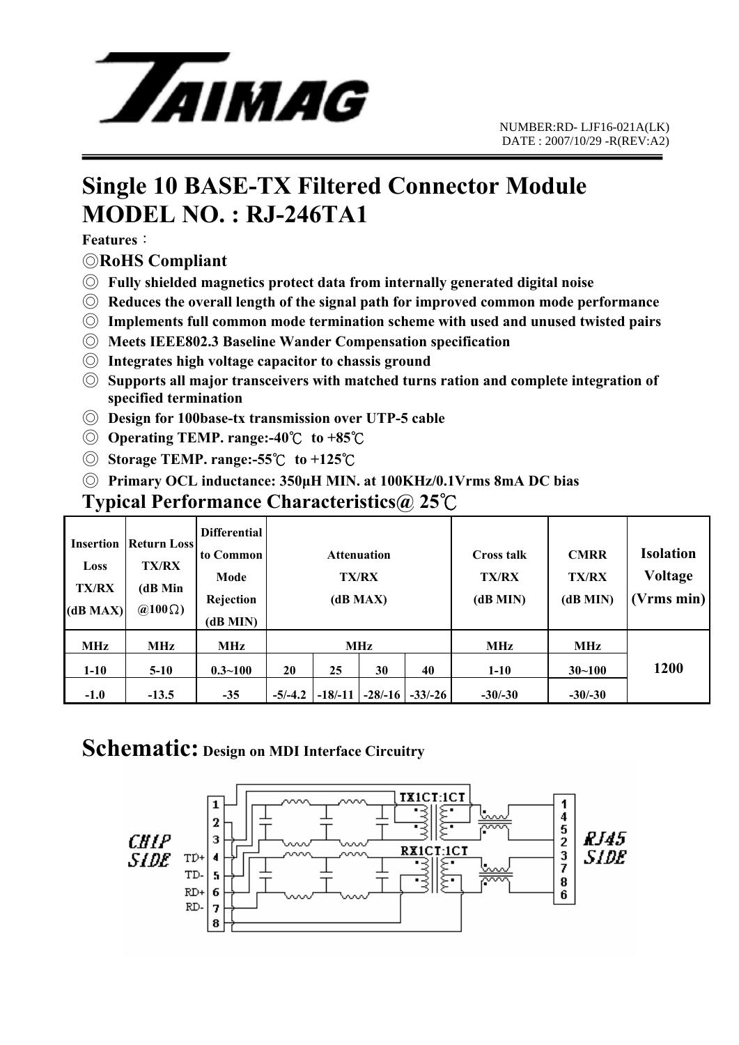

# **Single 10 BASE-TX Filtered Connector Module MODEL NO. : RJ-246TA1**

**Features**:

#### ◎**RoHS Compliant**

- ◎ **Fully shielded magnetics protect data from internally generated digital noise**
- ◎ **Reduces the overall length of the signal path for improved common mode performance**
- ◎ **Implements full common mode termination scheme with used and unused twisted pairs**
- ◎ **Meets IEEE802.3 Baseline Wander Compensation specification**
- ◎ **Integrates high voltage capacitor to chassis ground**
- ◎ **Supports all major transceivers with matched turns ration and complete integration of specified termination**
- ◎ **Design for 100base-tx transmission over UTP-5 cable**
- ◎ **Operating TEMP. range:-40**℃ **to +85**℃
- ◎ **Storage TEMP. range:-55**℃ **to +125**℃
- ◎ **Primary OCL inductance: 350μH MIN. at 100KHz/0.1Vrms 8mA DC bias**

#### **Typical Performance Characteristics@ 25**℃

| <b>Insertion</b><br>Loss<br><b>TX/RX</b><br>(dB MAX) | <b>Return Loss</b><br><b>TX/RX</b><br>(dB Min<br>$\omega(100 \Omega)$ | <b>Differential</b><br>to Common<br>Mode<br>Rejection<br>(dB MIN) | <b>Attenuation</b><br>TX/RX<br>(dB MAX) |           |            |          | <b>Cross talk</b><br>TX/RX<br>(dB MIN) | <b>CMRR</b><br><b>TX/RX</b><br>(dB MIN) | <b>Isolation</b><br><b>Voltage</b><br>[Vrms min] |
|------------------------------------------------------|-----------------------------------------------------------------------|-------------------------------------------------------------------|-----------------------------------------|-----------|------------|----------|----------------------------------------|-----------------------------------------|--------------------------------------------------|
| MHz                                                  | MHz                                                                   | <b>MHz</b>                                                        | <b>MHz</b>                              |           |            |          | MHz                                    | MHz                                     |                                                  |
| $1-10$                                               | $5-10$                                                                | $0.3 - 100$                                                       | 20                                      | 25        | 30         | 40       | $1 - 10$                               | $30 - 100$                              | <b>1200</b>                                      |
| $-1.0$                                               | $-13.5$                                                               | $-35$                                                             | $-5/-4.2$                               | $-18/-11$ | $-28/ -16$ | $-33/26$ | $-30/-30$                              | $-30/-30$                               |                                                  |

### **Schematic: Design on MDI Interface Circuitry**

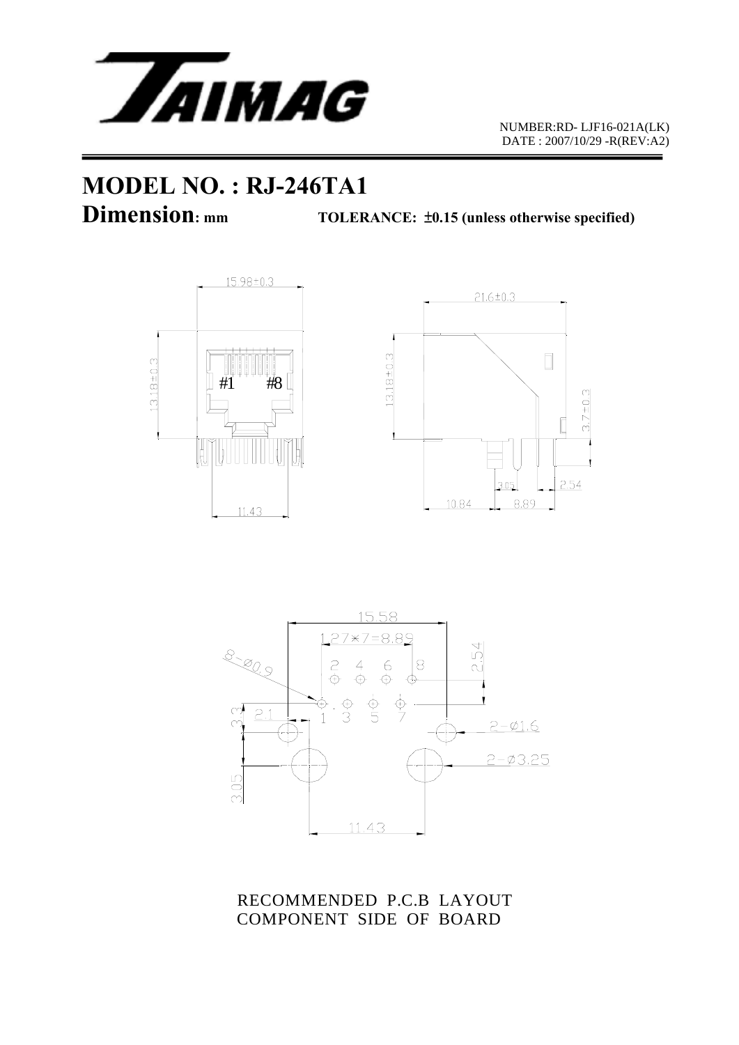

 NUMBER:RD- LJF16-021A(LK) DATE : 2007/10/29 -R(REV:A2)

# **MODEL NO. : RJ-246TA1**

**Dimension:** mm TOLERANCE:  $\pm 0.15$  (unless otherwise specified)







RECOMMENDED P.C.B LAYOUT COMPONENT SIDE OF BOARD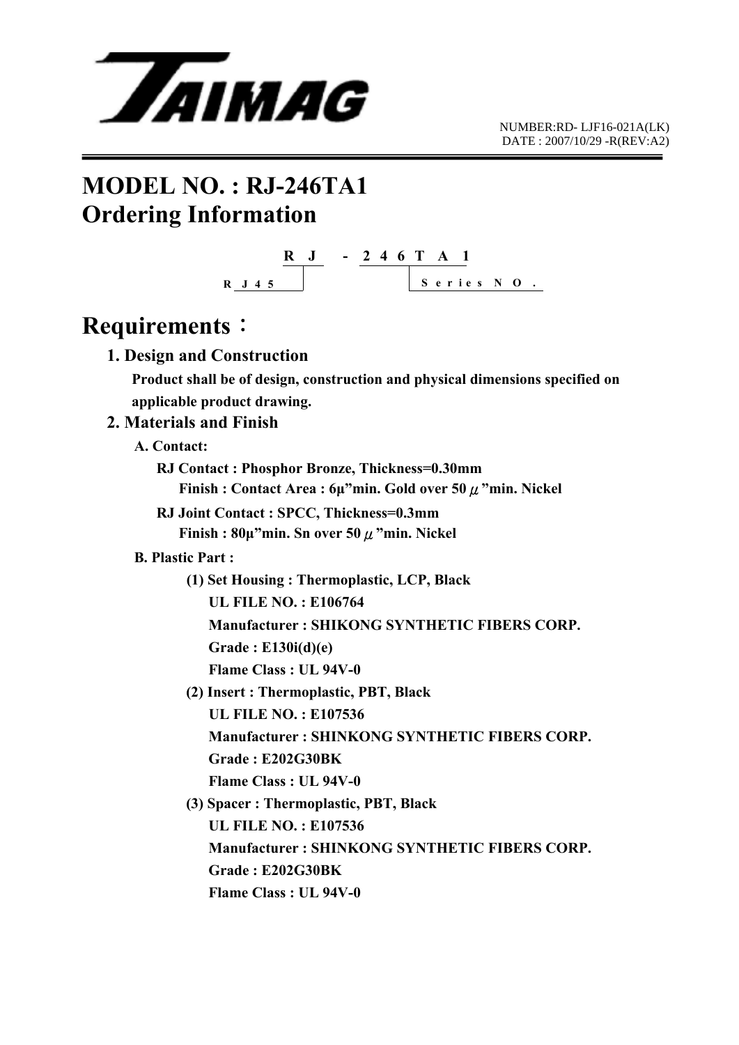

## **MODEL NO. : RJ-246TA1 Ordering Information**



### **Requirements**:

 **1. Design and Construction** 

 **Product shall be of design, construction and physical dimensions specified on applicable product drawing.** 

#### **2. Materials and Finish**

 **A. Contact:** 

 **RJ Contact : Phosphor Bronze, Thickness=0.30mm Finish : Contact Area : 6μ"min. Gold over 50**μ**"min. Nickel** 

**RJ Joint Contact : SPCC, Thickness=0.3mm Finish : 80μ"min. Sn over 50**μ**"min. Nickel** 

#### **B. Plastic Part :**

 **(1) Set Housing : Thermoplastic, LCP, Black** 

 **UL FILE NO. : E106764** 

 **Manufacturer : SHIKONG SYNTHETIC FIBERS CORP.** 

 **Grade : E130i(d)(e)** 

 **Flame Class : UL 94V-0** 

 **(2) Insert : Thermoplastic, PBT, Black** 

 **UL FILE NO. : E107536** 

 **Manufacturer : SHINKONG SYNTHETIC FIBERS CORP.** 

 **Grade : E202G30BK** 

 **Flame Class : UL 94V-0** 

 **(3) Spacer : Thermoplastic, PBT, Black** 

 **UL FILE NO. : E107536** 

 **Manufacturer : SHINKONG SYNTHETIC FIBERS CORP.** 

 **Grade : E202G30BK** 

 **Flame Class : UL 94V-0**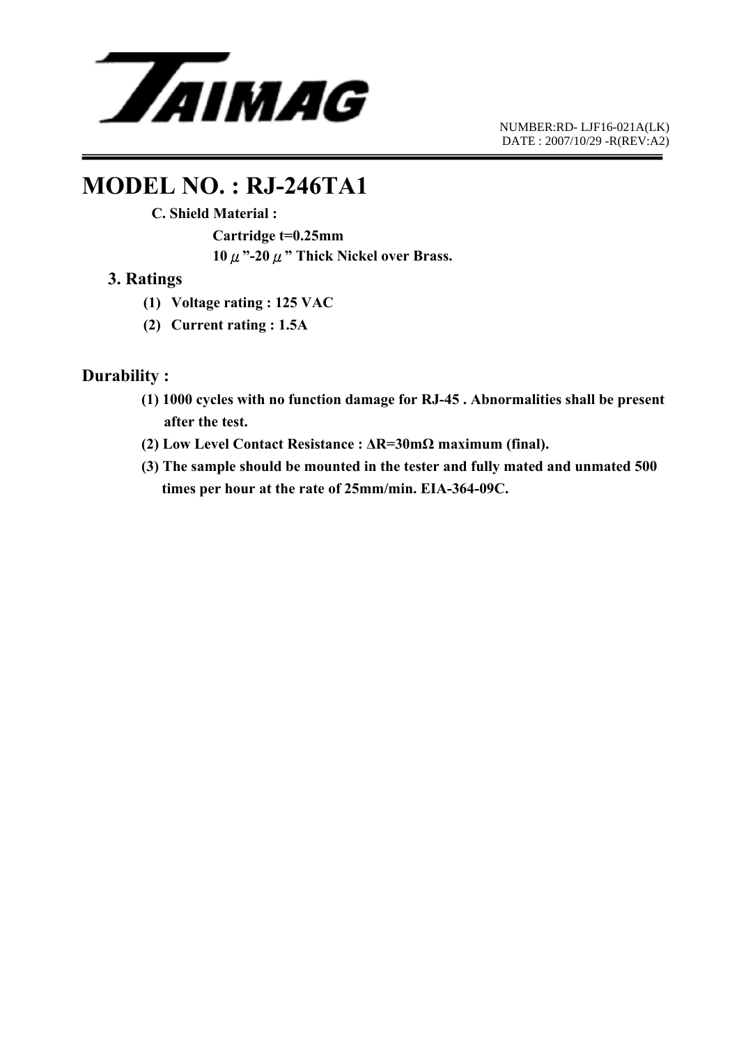

 NUMBER:RD- LJF16-021A(LK) DATE : 2007/10/29 -R(REV:A2)

### **MODEL NO. : RJ-246TA1**

 **C. Shield Material :** 

 **Cartridge t=0.25mm 10**μ**"-20**μ**" Thick Nickel over Brass.** 

#### **3. Ratings**

- **(1) Voltage rating : 125 VAC**
- **(2) Current rating : 1.5A**

#### **Durability :**

- **(1) 1000 cycles with no function damage for RJ-45 . Abnormalities shall be present after the test.**
- **(2) Low Level Contact Resistance : ΔR=30mΩ maximum (final).**
- **(3) The sample should be mounted in the tester and fully mated and unmated 500 times per hour at the rate of 25mm/min. EIA-364-09C.**